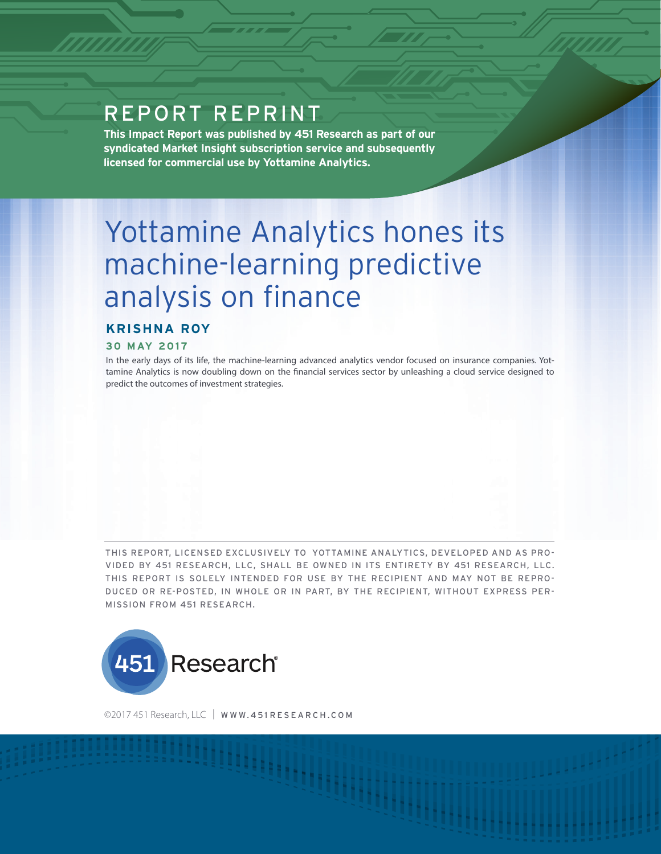# REPORT REPRINT

**This Impact Report was published by 451 Research as part of our syndicated Market Insight subscription service and subsequently licensed for commercial use by Yottamine Analytics.**

# Yottamine Analytics hones its machine-learning predictive analysis on finance

## **KRISHNA ROY**

#### **30 MAY 2017**

In the early days of its life, the machine-learning advanced analytics vendor focused on insurance companies. Yottamine Analytics is now doubling down on the financial services sector by unleashing a cloud service designed to predict the outcomes of investment strategies.

THIS REPORT, LICENSED EXCLUSIVELY TO YOTTAMINE ANALYTICS, DEVELOPED AND AS PRO-VIDED BY 451 RESEARCH, LLC, SHALL BE OWNED IN ITS ENTIRETY BY 451 RESEARCH, LLC. THIS REPORT IS SOLELY INTENDED FOR USE BY THE RECIPIENT AND MAY NOT BE REPRO-DUCED OR RE-POSTED, IN WHOLE OR IN PART, BY THE RECIPIENT, WITHOUT EXPRESS PER-MISSION FROM 451 RESEARCH.



©2017 451 Research, LLC | WWW.451 RESEARCH.COM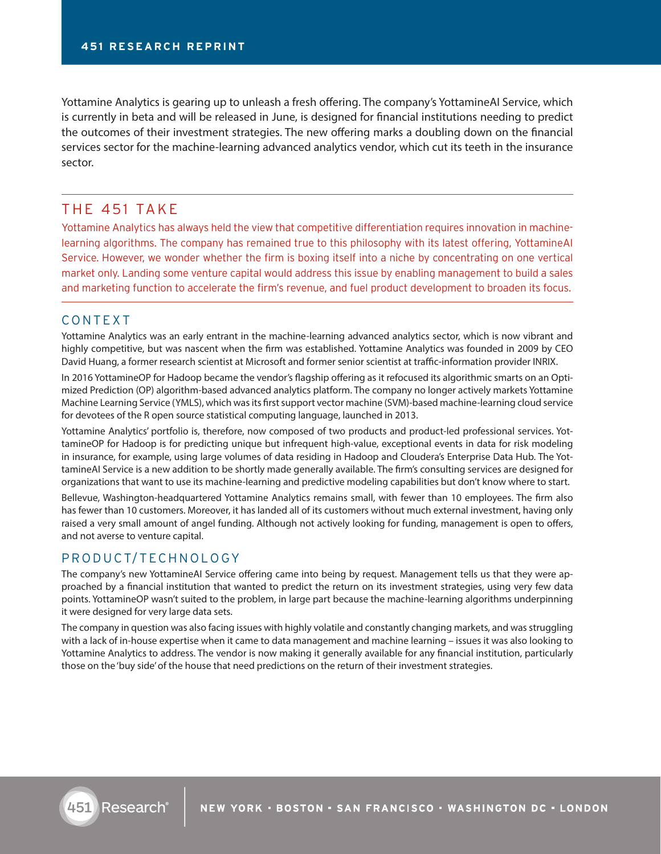Yottamine Analytics is gearing up to unleash a fresh offering. The company's YottamineAI Service, which is currently in beta and will be released in June, is designed for financial institutions needing to predict the outcomes of their investment strategies. The new offering marks a doubling down on the financial services sector for the machine-learning advanced analytics vendor, which cut its teeth in the insurance sector.

# THE 451 TAKE

Yottamine Analytics has always held the view that competitive differentiation requires innovation in machinelearning algorithms. The company has remained true to this philosophy with its latest offering, YottamineAI Service. However, we wonder whether the firm is boxing itself into a niche by concentrating on one vertical market only. Landing some venture capital would address this issue by enabling management to build a sales and marketing function to accelerate the firm's revenue, and fuel product development to broaden its focus.

#### CONTEXT

Yottamine Analytics was an early entrant in the machine-learning advanced analytics sector, which is now vibrant and highly competitive, but was nascent when the firm was established. Yottamine Analytics was founded in 2009 by CEO David Huang, a former research scientist at Microsoft and former senior scientist at traffic-information provider INRIX.

In 2016 YottamineOP for Hadoop became the vendor's flagship offering as it refocused its algorithmic smarts on an Optimized Prediction (OP) algorithm-based advanced analytics platform. The company no longer actively markets Yottamine Machine Learning Service (YMLS), which was its first support vector machine (SVM)-based machine-learning cloud service for devotees of the R open source statistical computing language, launched in 2013.

Yottamine Analytics' portfolio is, therefore, now composed of two products and product-led professional services. YottamineOP for Hadoop is for predicting unique but infrequent high-value, exceptional events in data for risk modeling in insurance, for example, using large volumes of data residing in Hadoop and Cloudera's Enterprise Data Hub. The YottamineAI Service is a new addition to be shortly made generally available. The firm's consulting services are designed for organizations that want to use its machine-learning and predictive modeling capabilities but don't know where to start.

Bellevue, Washington-headquartered Yottamine Analytics remains small, with fewer than 10 employees. The firm also has fewer than 10 customers. Moreover, it has landed all of its customers without much external investment, having only raised a very small amount of angel funding. Although not actively looking for funding, management is open to offers, and not averse to venture capital.

### PRODUCT/TECHNOLOGY

The company's new YottamineAI Service offering came into being by request. Management tells us that they were approached by a financial institution that wanted to predict the return on its investment strategies, using very few data points. YottamineOP wasn't suited to the problem, in large part because the machine-learning algorithms underpinning it were designed for very large data sets.

The company in question was also facing issues with highly volatile and constantly changing markets, and was struggling with a lack of in-house expertise when it came to data management and machine learning – issues it was also looking to Yottamine Analytics to address. The vendor is now making it generally available for any financial institution, particularly those on the 'buy side' of the house that need predictions on the return of their investment strategies.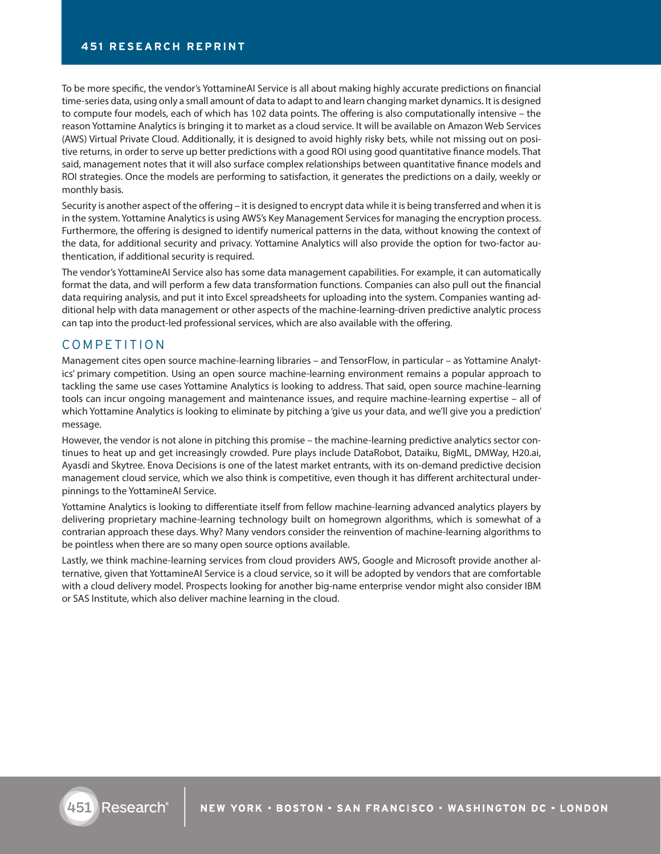To be more specific, the vendor's YottamineAI Service is all about making highly accurate predictions on financial time-series data, using only a small amount of data to adapt to and learn changing market dynamics. It is designed to compute four models, each of which has 102 data points. The offering is also computationally intensive – the reason Yottamine Analytics is bringing it to market as a cloud service. It will be available on Amazon Web Services (AWS) Virtual Private Cloud. Additionally, it is designed to avoid highly risky bets, while not missing out on positive returns, in order to serve up better predictions with a good ROI using good quantitative finance models. That said, management notes that it will also surface complex relationships between quantitative finance models and ROI strategies. Once the models are performing to satisfaction, it generates the predictions on a daily, weekly or monthly basis.

Security is another aspect of the offering – it is designed to encrypt data while it is being transferred and when it is in the system. Yottamine Analytics is using AWS's Key Management Services for managing the encryption process. Furthermore, the offering is designed to identify numerical patterns in the data, without knowing the context of the data, for additional security and privacy. Yottamine Analytics will also provide the option for two-factor authentication, if additional security is required.

The vendor's YottamineAI Service also has some data management capabilities. For example, it can automatically format the data, and will perform a few data transformation functions. Companies can also pull out the financial data requiring analysis, and put it into Excel spreadsheets for uploading into the system. Companies wanting additional help with data management or other aspects of the machine-learning-driven predictive analytic process can tap into the product-led professional services, which are also available with the offering.

#### COMPETITION

Management cites open source machine-learning libraries – and TensorFlow, in particular – as Yottamine Analytics' primary competition. Using an open source machine-learning environment remains a popular approach to tackling the same use cases Yottamine Analytics is looking to address. That said, open source machine-learning tools can incur ongoing management and maintenance issues, and require machine-learning expertise – all of which Yottamine Analytics is looking to eliminate by pitching a 'give us your data, and we'll give you a prediction' message.

However, the vendor is not alone in pitching this promise – the machine-learning predictive analytics sector continues to heat up and get increasingly crowded. Pure plays include DataRobot, Dataiku, BigML, DMWay, H20.ai, Ayasdi and Skytree. Enova Decisions is one of the latest market entrants, with its on-demand predictive decision management cloud service, which we also think is competitive, even though it has different architectural underpinnings to the YottamineAI Service.

Yottamine Analytics is looking to differentiate itself from fellow machine-learning advanced analytics players by delivering proprietary machine-learning technology built on homegrown algorithms, which is somewhat of a contrarian approach these days. Why? Many vendors consider the reinvention of machine-learning algorithms to be pointless when there are so many open source options available.

Lastly, we think machine-learning services from cloud providers AWS, Google and Microsoft provide another alternative, given that YottamineAI Service is a cloud service, so it will be adopted by vendors that are comfortable with a cloud delivery model. Prospects looking for another big-name enterprise vendor might also consider IBM or SAS Institute, which also deliver machine learning in the cloud.